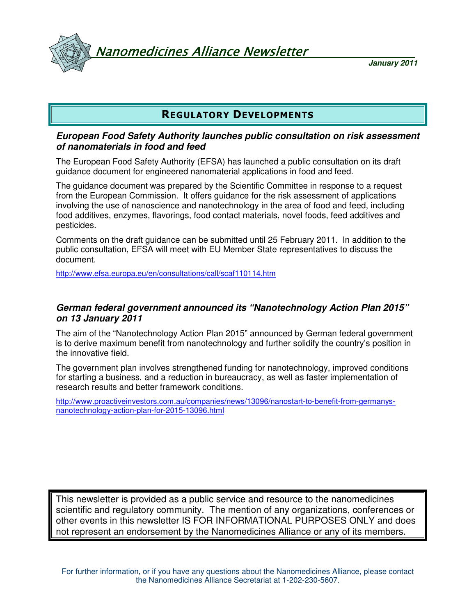Vanomedicines Alliance Newsletter

**January 2011**

# REGULATORY DEVELOPMENTS

#### **European Food Safety Authority launches public consultation on risk assessment of nanomaterials in food and feed**

The European Food Safety Authority (EFSA) has launched a public consultation on its draft guidance document for engineered nanomaterial applications in food and feed.

The guidance document was prepared by the Scientific Committee in response to a request from the European Commission. It offers guidance for the risk assessment of applications involving the use of nanoscience and nanotechnology in the area of food and feed, including food additives, enzymes, flavorings, food contact materials, novel foods, feed additives and pesticides.

Comments on the draft guidance can be submitted until 25 February 2011. In addition to the public consultation, EFSA will meet with EU Member State representatives to discuss the document.

http://www.efsa.europa.eu/en/consultations/call/scaf110114.htm

#### **German federal government announced its "Nanotechnology Action Plan 2015" on 13 January 2011**

The aim of the "Nanotechnology Action Plan 2015" announced by German federal government is to derive maximum benefit from nanotechnology and further solidify the country's position in the innovative field.

The government plan involves strengthened funding for nanotechnology, improved conditions for starting a business, and a reduction in bureaucracy, as well as faster implementation of research results and better framework conditions.

http://www.proactiveinvestors.com.au/companies/news/13096/nanostart-to-benefit-from-germanysnanotechnology-action-plan-for-2015-13096.html

This newsletter is provided as a public service and resource to the nanomedicines scientific and regulatory community. The mention of any organizations, conferences or other events in this newsletter IS FOR INFORMATIONAL PURPOSES ONLY and does not represent an endorsement by the Nanomedicines Alliance or any of its members.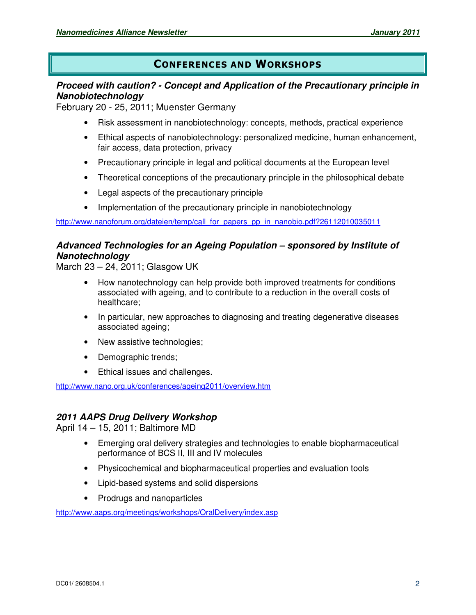# CONFERENCES AND WORKSHOPS

## **Proceed with caution? - Concept and Application of the Precautionary principle in Nanobiotechnology**

February 20 - 25, 2011; Muenster Germany

- Risk assessment in nanobiotechnology: concepts, methods, practical experience
- Ethical aspects of nanobiotechnology: personalized medicine, human enhancement, fair access, data protection, privacy
- Precautionary principle in legal and political documents at the European level
- Theoretical conceptions of the precautionary principle in the philosophical debate
- Legal aspects of the precautionary principle
- Implementation of the precautionary principle in nanobiotechnology

http://www.nanoforum.org/dateien/temp/call\_for\_papers\_pp\_in\_nanobio.pdf?26112010035011

### **Advanced Technologies for an Ageing Population – sponsored by Institute of Nanotechnology**

March 23 – 24, 2011; Glasgow UK

- How nanotechnology can help provide both improved treatments for conditions associated with ageing, and to contribute to a reduction in the overall costs of healthcare;
- In particular, new approaches to diagnosing and treating degenerative diseases associated ageing;
- New assistive technologies;
- Demographic trends;
- Ethical issues and challenges.

http://www.nano.org.uk/conferences/ageing2011/overview.htm

### **2011 AAPS Drug Delivery Workshop**

April 14 – 15, 2011; Baltimore MD

- Emerging oral delivery strategies and technologies to enable biopharmaceutical performance of BCS II, III and IV molecules
- Physicochemical and biopharmaceutical properties and evaluation tools
- Lipid-based systems and solid dispersions
- Prodrugs and nanoparticles

http://www.aaps.org/meetings/workshops/OralDelivery/index.asp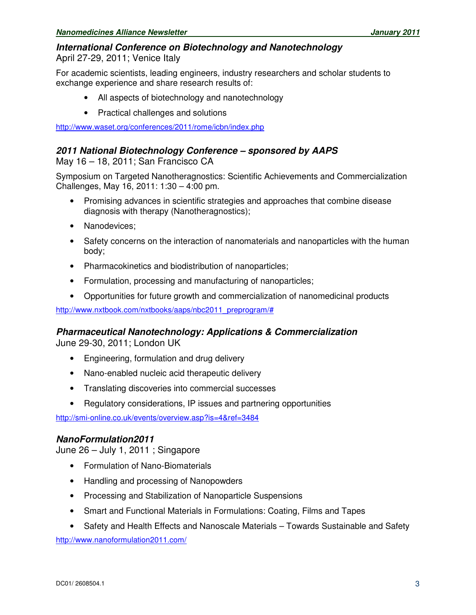#### **International Conference on Biotechnology and Nanotechnology**

April 27-29, 2011; Venice Italy

For academic scientists, leading engineers, industry researchers and scholar students to exchange experience and share research results of:

- All aspects of biotechnology and nanotechnology
- Practical challenges and solutions

http://www.waset.org/conferences/2011/rome/icbn/index.php

#### **2011 National Biotechnology Conference – sponsored by AAPS**

May 16 – 18, 2011; San Francisco CA

Symposium on Targeted Nanotheragnostics: Scientific Achievements and Commercialization Challenges, May 16, 2011: 1:30 – 4:00 pm.

- Promising advances in scientific strategies and approaches that combine disease diagnosis with therapy (Nanotheragnostics);
- Nanodevices;
- Safety concerns on the interaction of nanomaterials and nanoparticles with the human body;
- Pharmacokinetics and biodistribution of nanoparticles;
- Formulation, processing and manufacturing of nanoparticles;
- Opportunities for future growth and commercialization of nanomedicinal products

http://www.nxtbook.com/nxtbooks/aaps/nbc2011\_preprogram/#

#### **Pharmaceutical Nanotechnology: Applications & Commercialization**

June 29-30, 2011; London UK

- Engineering, formulation and drug delivery
- Nano-enabled nucleic acid therapeutic delivery
- Translating discoveries into commercial successes
- Regulatory considerations, IP issues and partnering opportunities

http://smi-online.co.uk/events/overview.asp?is=4&ref=3484

### **NanoFormulation2011**

June 26 – July 1, 2011 ; Singapore

- Formulation of Nano-Biomaterials
- Handling and processing of Nanopowders
- Processing and Stabilization of Nanoparticle Suspensions
- Smart and Functional Materials in Formulations: Coating, Films and Tapes
- Safety and Health Effects and Nanoscale Materials Towards Sustainable and Safety

http://www.nanoformulation2011.com/